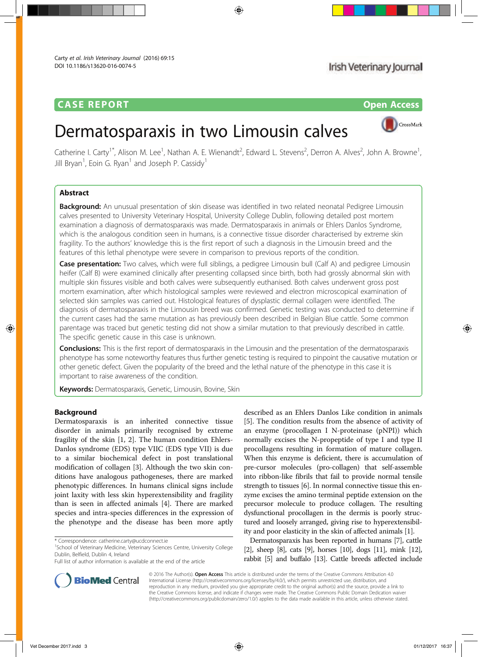### CASE REPORT Open Access

## CrossMark

# Dermatosparaxis in two Limousin calves

Catherine I. Carty<sup>1\*</sup>, Alison M. Lee<sup>1</sup>, Nathan A. E. Wienandt<sup>2</sup>, Edward L. Stevens<sup>2</sup>, Derron A. Alves<sup>2</sup>, John A. Browne<sup>1</sup> , Jill Bryan<sup>1</sup>, Eoin G. Ryan<sup>1</sup> and Joseph P. Cassidy<sup>1</sup>

#### Abstract

**Background:** An unusual presentation of skin disease was identified in two related neonatal Pedigree Limousin calves presented to University Veterinary Hospital, University College Dublin, following detailed post mortem examination a diagnosis of dermatosparaxis was made. Dermatosparaxis in animals or Ehlers Danlos Syndrome, which is the analogous condition seen in humans, is a connective tissue disorder characterised by extreme skin fragility. To the authors' knowledge this is the first report of such a diagnosis in the Limousin breed and the features of this lethal phenotype were severe in comparison to previous reports of the condition.

Case presentation: Two calves, which were full siblings, a pedigree Limousin bull (Calf A) and pedigree Limousin heifer (Calf B) were examined clinically after presenting collapsed since birth, both had grossly abnormal skin with multiple skin fissures visible and both calves were subsequently euthanised. Both calves underwent gross post mortem examination, after which histological samples were reviewed and electron microscopical examination of selected skin samples was carried out. Histological features of dysplastic dermal collagen were identified. The diagnosis of dermatosparaxis in the Limousin breed was confirmed. Genetic testing was conducted to determine if the current cases had the same mutation as has previously been described in Belgian Blue cattle. Some common parentage was traced but genetic testing did not show a similar mutation to that previously described in cattle. The specific genetic cause in this case is unknown.

Conclusions: This is the first report of dermatosparaxis in the Limousin and the presentation of the dermatosparaxis phenotype has some noteworthy features thus further genetic testing is required to pinpoint the causative mutation or other genetic defect. Given the popularity of the breed and the lethal nature of the phenotype in this case it is important to raise awareness of the condition.

Keywords: Dermatosparaxis, Genetic, Limousin, Bovine, Skin

#### Background

Dermatosparaxis is an inherited connective tissue disorder in animals primarily recognised by extreme fragility of the skin [1, 2]. The human condition Ehlers-Danlos syndrome (EDS) type VIIC (EDS type VII) is due to a similar biochemical defect in post translational modification of collagen [3]. Although the two skin conditions have analogous pathogeneses, there are marked phenotypic differences. In humans clinical signs include joint laxity with less skin hyperextensibility and fragility than is seen in affected animals [4]. There are marked species and intra-species differences in the expression of the phenotype and the disease has been more aptly

<sup>1</sup>School of Veterinary Medicine, Veterinary Sciences Centre, University College Dublin, Belfield, Dublin 4, Ireland

described as an Ehlers Danlos Like condition in animals [5]. The condition results from the absence of activity of an enzyme (procollagen I N-proteinase (pNPI)) which normally excises the N-propeptide of type I and type II procollagens resulting in formation of mature collagen. When this enzyme is deficient, there is accumulation of pre-cursor molecules (pro-collagen) that self-assemble into ribbon-like fibrils that fail to provide normal tensile strength to tissues [6]. In normal connective tissue this enzyme excises the amino terminal peptide extension on the precursor molecule to produce collagen. The resulting dysfunctional procollagen in the dermis is poorly structured and loosely arranged, giving rise to hyperextensibility and poor elasticity in the skin of affected animals [1].

Dermatosparaxis has been reported in humans [7], cattle [2], sheep [8], cats [9], horses [10], dogs [11], mink [12], rabbit [5] and buffalo [13]. Cattle breeds affected include



© 2016 The Author(s). Open Access This article is distributed under the terms of the Creative Commons Attribution 4.0 International License (http://creativecommons.org/licenses/by/4.0/), which permits unrestricted use, distribution, and reproduction in any medium, provided you give appropriate credit to the original author(s) and the source, provide a link to the Creative Commons license, and indicate if changes were made. The Creative Commons Public Domain Dedication waiver (http://creativecommons.org/publicdomain/zero/1.0/) applies to the data made available in this article, unless otherwise stated.

<sup>\*</sup> Correspondence: catherine.carty@ucdconnect.ie <sup>1</sup>

Full list of author information is available at the end of the article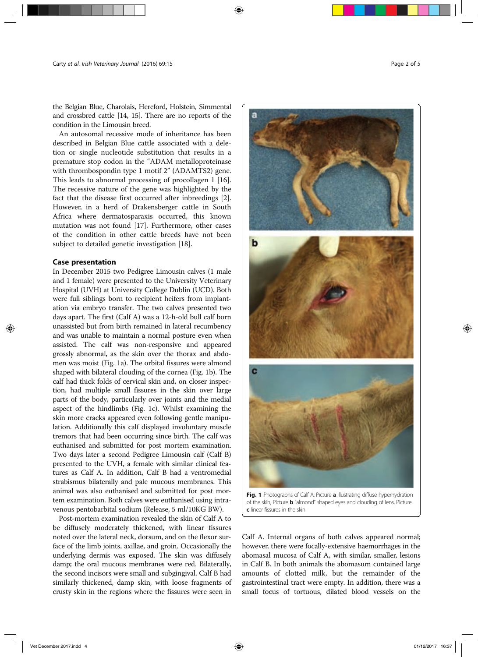the Belgian Blue, Charolais, Hereford, Holstein, Simmental and crossbred cattle [14, 15]. There are no reports of the condition in the Limousin breed.

An autosomal recessive mode of inheritance has been described in Belgian Blue cattle associated with a deletion or single nucleotide substitution that results in a premature stop codon in the "ADAM metalloproteinase with thrombospondin type 1 motif 2" (ADAMTS2) gene. This leads to abnormal processing of procollagen 1 [16]. The recessive nature of the gene was highlighted by the fact that the disease first occurred after inbreedings [2]. However, in a herd of Drakensberger cattle in South Africa where dermatosparaxis occurred, this known mutation was not found [17]. Furthermore, other cases of the condition in other cattle breeds have not been subject to detailed genetic investigation [18].

#### Case presentation

In December 2015 two Pedigree Limousin calves (1 male and 1 female) were presented to the University Veterinary Hospital (UVH) at University College Dublin (UCD). Both were full siblings born to recipient heifers from implantation via embryo transfer. The two calves presented two days apart. The first (Calf A) was a 12-h-old bull calf born unassisted but from birth remained in lateral recumbency and was unable to maintain a normal posture even when assisted. The calf was non-responsive and appeared grossly abnormal, as the skin over the thorax and abdomen was moist (Fig. 1a). The orbital fissures were almond shaped with bilateral clouding of the cornea (Fig. 1b). The calf had thick folds of cervical skin and, on closer inspection, had multiple small fissures in the skin over large parts of the body, particularly over joints and the medial aspect of the hindlimbs (Fig. 1c). Whilst examining the skin more cracks appeared even following gentle manipulation. Additionally this calf displayed involuntary muscle tremors that had been occurring since birth. The calf was euthanised and submitted for post mortem examination. Two days later a second Pedigree Limousin calf (Calf B) presented to the UVH, a female with similar clinical features as Calf A. In addition, Calf B had a ventromedial strabismus bilaterally and pale mucous membranes. This animal was also euthanised and submitted for post mortem examination. Both calves were euthanised using intravenous pentobarbital sodium (Release, 5 ml/10KG BW).

Post-mortem examination revealed the skin of Calf A to be diffusely moderately thickened, with linear fissures noted over the lateral neck, dorsum, and on the flexor surface of the limb joints, axillae, and groin. Occasionally the underlying dermis was exposed. The skin was diffusely damp; the oral mucous membranes were red. Bilaterally, the second incisors were small and subgingival. Calf B had similarly thickened, damp skin, with loose fragments of crusty skin in the regions where the fissures were seen in



Calf A. Internal organs of both calves appeared normal; however, there were focally-extensive haemorrhages in the abomasal mucosa of Calf A, with similar, smaller, lesions in Calf B. In both animals the abomasum contained large amounts of clotted milk, but the remainder of the gastrointestinal tract were empty. In addition, there was a small focus of tortuous, dilated blood vessels on the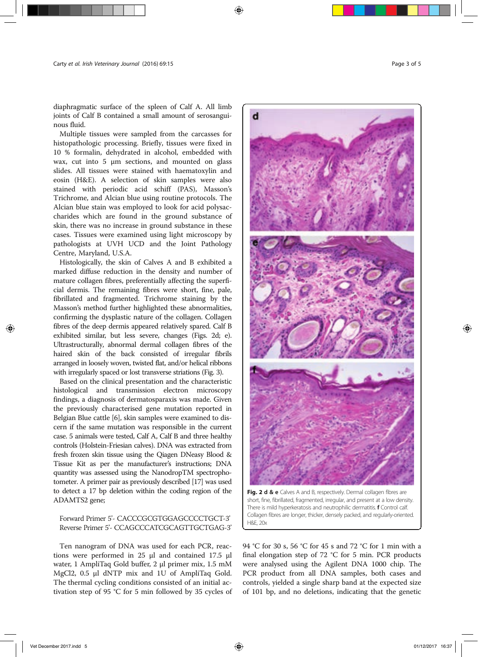diaphragmatic surface of the spleen of Calf A. All limb joints of Calf B contained a small amount of serosanguinous fluid.

Multiple tissues were sampled from the carcasses for histopathologic processing. Briefly, tissues were fixed in 10 % formalin, dehydrated in alcohol, embedded with wax, cut into 5 μm sections, and mounted on glass slides. All tissues were stained with haematoxylin and eosin (H&E). A selection of skin samples were also stained with periodic acid schiff (PAS), Masson's Trichrome, and Alcian blue using routine protocols. The Alcian blue stain was employed to look for acid polysaccharides which are found in the ground substance of skin, there was no increase in ground substance in these cases. Tissues were examined using light microscopy by pathologists at UVH UCD and the Joint Pathology Centre, Maryland, U.S.A.

Histologically, the skin of Calves A and B exhibited a marked diffuse reduction in the density and number of mature collagen fibres, preferentially affecting the superficial dermis. The remaining fibres were short, fine, pale, fibrillated and fragmented. Trichrome staining by the Masson's method further highlighted these abnormalities, confirming the dysplastic nature of the collagen. Collagen fibres of the deep dermis appeared relatively spared. Calf B exhibited similar, but less severe, changes (Figs. 2d; e). Ultrastructurally, abnormal dermal collagen fibres of the haired skin of the back consisted of irregular fibrils arranged in loosely woven, twisted flat, and/or helical ribbons with irregularly spaced or lost transverse striations (Fig. 3).

Based on the clinical presentation and the characteristic histological and transmission electron microscopy findings, a diagnosis of dermatosparaxis was made. Given the previously characterised gene mutation reported in Belgian Blue cattle [6], skin samples were examined to discern if the same mutation was responsible in the current case. 5 animals were tested, Calf A, Calf B and three healthy controls (Holstein-Friesian calves). DNA was extracted from fresh frozen skin tissue using the Qiagen DNeasy Blood & Tissue Kit as per the manufacturer's instructions; DNA quantity was assessed using the NanodropTM spectrophotometer. A primer pair as previously described [17] was used to detect a 17 bp deletion within the coding region of the ADAMTS2 gene;

#### Forward Primer 5'- CACCCGCGTGGAGCCCCTGCT-3' Reverse Primer 5'- CCAGCCCATCGCAGTTGCTGAG-3'

Ten nanogram of DNA was used for each PCR, reactions were performed in 25 μl and contained 17.5 μl water, 1 AmpliTaq Gold buffer, 2 μl primer mix, 1.5 mM MgCl2, 0.5 μl dNTP mix and 1U of AmpliTaq Gold. The thermal cycling conditions consisted of an initial activation step of 95 °C for 5 min followed by 35 cycles of



short, fine, fibrillated, fragmented, irregular, and present at a low density. There is mild hyperkeratosis and neutrophilic dermatitis. f Control calf. Collagen fibres are longer, thicker, densely packed, and regularly-oriented. H&E, 20x

94 °C for 30 s, 56 °C for 45 s and 72 °C for 1 min with a final elongation step of 72 °C for 5 min. PCR products were analysed using the Agilent DNA 1000 chip. The PCR product from all DNA samples, both cases and controls, yielded a single sharp band at the expected size of 101 bp, and no deletions, indicating that the genetic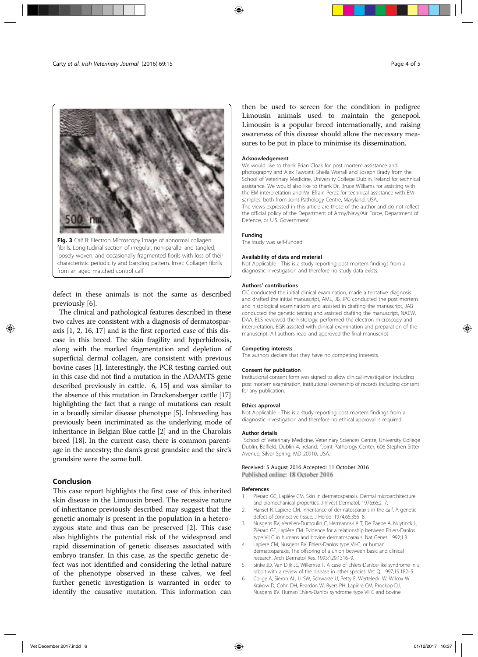

Fig. 3 Calf B: Electron Microscopy image of abnormal collagen fibrils. Longitudinal section of irregular, non-parallel and tangled, loosely woven, and occasionally fragmented fibrils with loss of their characteristic periodicity and banding pattern. Inset: Collagen fibrils from an aged matched control calf

defect in these animals is not the same as described previously [6].

The clinical and pathological features described in these two calves are consistent with a diagnosis of dermatosparaxis [1, 2, 16, 17] and is the first reported case of this disease in this breed. The skin fragility and hyperhidrosis, along with the marked fragmentation and depletion of superficial dermal collagen, are consistent with previous bovine cases [1]. Interestingly, the PCR testing carried out in this case did not find a mutation in the ADAMTS gene described previously in cattle. [6, 15] and was similar to the absence of this mutation in Drackensberger cattle [17] highlighting the fact that a range of mutations can result in a broadly similar disease phenotype [5]. Inbreeding has previously been incriminated as the underlying mode of inheritance in Belgian Blue cattle [2] and in the Charolais breed [18]. In the current case, there is common parentage in the ancestry; the dam's great grandsire and the sire's grandsire were the same bull.

#### Conclusion

This case report highlights the first case of this inherited skin disease in the Limousin breed. The recessive nature of inheritance previously described may suggest that the genetic anomaly is present in the population in a heterozygous state and thus can be preserved [2]. This case also highlights the potential risk of the widespread and rapid dissemination of genetic diseases associated with embryo transfer. In this case, as the specific genetic defect was not identified and considering the lethal nature of the phenotype observed in these calves, we feel further genetic investigation is warranted in order to identify the causative mutation. This information can

then be used to screen for the condition in pedigree Limousin animals used to maintain the genepool. Limousin is a popular breed internationally, and raising awareness of this disease should allow the necessary measures to be put in place to minimise its dissemination.

#### Acknowledgement

We would like to thank Brian Cloak for post mortem assistance and photography and Alex Fawcett, Sheila Worrall and Joseph Brady from the School of Veterinary Medicine, University College Dublin, Ireland for technical assistance. We would also like to thank Dr. Bruce Williams for assisting with the EM interpretation and Mr. Efrain Perez for technical assistance with EM samples, both from Joint Pathology Centre, Maryland, USA. The views expressed in this article are those of the author and do not reflect the official policy of the Department of Army/Navy/Air Force, Department of Defence, or U.S. Government.

#### Funding

The study was self-funded.

#### Availability of data and material

Not Applicable - This is a study reporting post mortem findings from a diagnostic investigation and therefore no study data exists.

#### Authors' contributions

CIC conducted the initial clinical examination, made a tentative diagnosis and drafted the initial manuscript, AML, JB, JPC conducted the post mortem and histological examinations and assisted in drafting the manuscript, JAB conducted the genetic testing and assisted drafting the manuscript, NAEW, DAA, ELS reviewed the histology, performed the electron microscopy and interpretation, EGR assisted with clinical examination and preparation of the manuscript. All authors read and approved the final manuscript.

#### Competing interests

The authors declare that they have no competing interests.

#### Consent for publication

Institutional consent form was signed to allow clinical investigation including post mortem examination, institutional ownership of records including consent for any publication.

#### Ethics approval

Not Applicable - This is a study reporting post mortem findings from a diagnostic investigation and therefore no ethical approval is required.

#### Author details

<sup>1</sup>School of Veterinary Medicine, Veterinary Sciences Centre, University College Dublin, Belfield, Dublin 4, Ireland. <sup>2</sup> Joint Pathology Center, 606 Stephen Sitter Avenue, Silver Spring, MD 20910, USA.

#### Received: 5 August 2016 Accepted: 11 October 2016 Published online: 18 October 2016

#### References

- 1. Pierard GC, Lapière CM. Skin in dermatosparaxis. Dermal microarchitecture and biomechanical properties. J Invest Dermatol. 1976;66:2–7.
- Hanset R, Lapiere CM. Inheritance of dermatosparaxis in the calf. A genetic defect of connective tissue. J Hered. 1974;65:356–8.
- 3. Nusgens BV, Verellen-Dumoulin C, Hermanns-Lê T, De Paepe A, Nuytinck L, Piérard GE, Lapière CM. Evidence for a relationship between Ehlers-Danlos type VII C in humans and bovine dermatosparaxis. Nat Genet. 1992;1:3.
- 4. Lapiere CM, Nusgens BV. Ehlers-Danlos type VII-C, or human dermatosparaxis. The offspring of a union between basic and clinical research. Arch Dermatol Res. 1993;129:1316–9.
- Sinke JD, Van Dijk JE, Willemse T. A case of Ehlers-Danlos-like syndrome in a rabbit with a review of the disease in other species. Vet Q. 1997;19:182–5.
- 6. Colige A, Sieron AL, Li SW, Schwarze U, Petty E, Wertelecki W, Wilcox W, Krakow D, Cohn DH, Reardon W, Byers PH, Lapière CM, Prockop DJ, Nusgens BV. Human Ehlers-Danlos syndrome type VII C and bovine